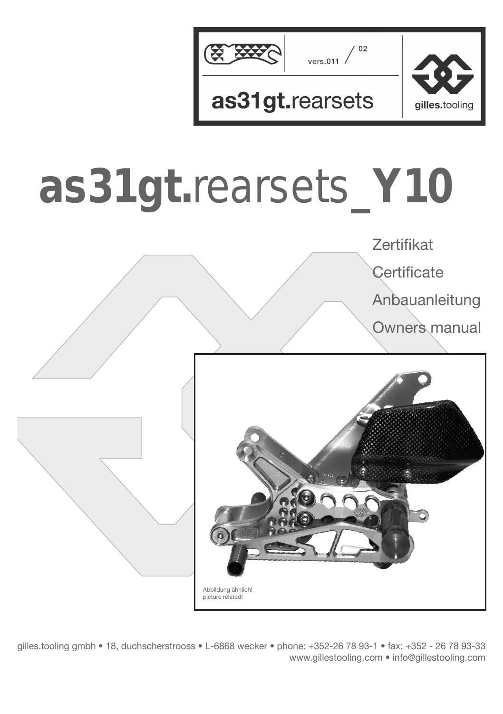

# **as31gt.**rearsets**\_Y10**



gilles.tooling gmbh • 18, duchscherstrooss • L-6868 wecker • phone: +352-26 78 93-1 • fax: +352 - 26 78 93-33 www.gillestooling.com • info@gillestooling.com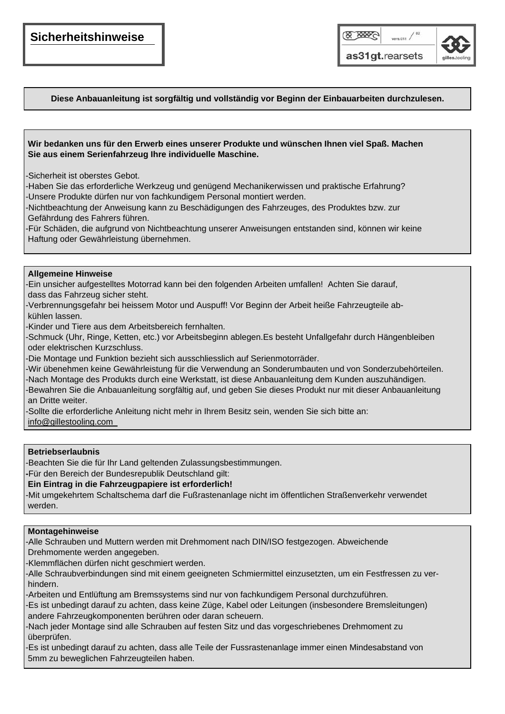### **Sicherheitshinweise**



#### **Diese Anbauanleitung ist sorgfältig und vollständig vor Beginn der Einbauarbeiten durchzulesen.**

#### **Wir bedanken uns für den Erwerb eines unserer Produkte und wünschen Ihnen viel Spaß. Machen Sie aus einem Serienfahrzeug Ihre individuelle Maschine.**

-Sicherheit ist oberstes Gebot.

-Haben Sie das erforderliche Werkzeug und genügend Mechanikerwissen und praktische Erfahrung? -Unsere Produkte dürfen nur von fachkundigem Personal montiert werden.

-Nichtbeachtung der Anweisung kann zu Beschädigungen des Fahrzeuges, des Produktes bzw. zur Gefährdung des Fahrers führen.

-Für Schäden, die aufgrund von Nichtbeachtung unserer Anweisungen entstanden sind, können wir keine Haftung oder Gewährleistung übernehmen.

#### **Allgemeine Hinweise**

-Ein unsicher aufgestelltes Motorrad kann bei den folgenden Arbeiten umfallen! Achten Sie darauf, dass das Fahrzeug sicher steht.

-Verbrennungsgefahr bei heissem Motor und Auspuff! Vor Beginn der Arbeit heiße Fahrzeugteile ab kühlen lassen.

-Kinder und Tiere aus dem Arbeitsbereich fernhalten.

-Schmuck (Uhr, Ringe, Ketten, etc.) vor Arbeitsbeginn ablegen.Es besteht Unfallgefahr durch Hängenbleiben oder elektrischen Kurzschluss.

-Die Montage und Funktion bezieht sich ausschliesslich auf Serienmotorräder.

-Wir übenehmen keine Gewährleistung für die Verwendung an Sonderumbauten und von Sonderzubehörteilen. -Nach Montage des Produkts durch eine Werkstatt, ist diese Anbauanleitung dem Kunden auszuhändigen.

-Bewahren Sie die Anbauanleitung sorgfältig auf, und geben Sie dieses Produkt nur mit dieser Anbauanleitung an Dritte weiter.

-Sollte die erforderliche Anleitung nicht mehr in Ihrem Besitz sein, wenden Sie sich bitte an:

info@gillestooling.com

#### **Betriebserlaubnis**

-Beachten Sie die für Ihr Land geltenden Zulassungsbestimmungen.

**-**Für den Bereich der Bundesrepublik Deutschland gilt:

**Ein Eintrag in die Fahrzeugpapiere ist erforderlich!**

-Mit umgekehrtem Schaltschema darf die Fußrastenanlage nicht im öffentlichen Straßenverkehr verwendet werden.

#### **Montagehinweise**

-Alle Schrauben und Muttern werden mit Drehmoment nach DIN/ISO festgezogen. Abweichende Drehmomente werden angegeben.

-Klemmflächen dürfen nicht geschmiert werden.

-Alle Schraubverbindungen sind mit einem geeigneten Schmiermittel einzusetzten, um ein Festfressen zu ver hindern.

-Arbeiten und Entlüftung am Bremssystems sind nur von fachkundigem Personal durchzuführen.

-Es ist unbedingt darauf zu achten, dass keine Züge, Kabel oder Leitungen (insbesondere Bremsleitungen) andere Fahrzeugkomponenten berühren oder daran scheuern.

-Nach jeder Montage sind alle Schrauben auf festen Sitz und das vorgeschriebenes Drehmoment zu überprüfen.

 5mm zu beweglichen Fahrzeugteilen haben.-Es ist unbedingt darauf zu achten, dass alle Teile der Fussrastenanlage immer einen Mindesabstand von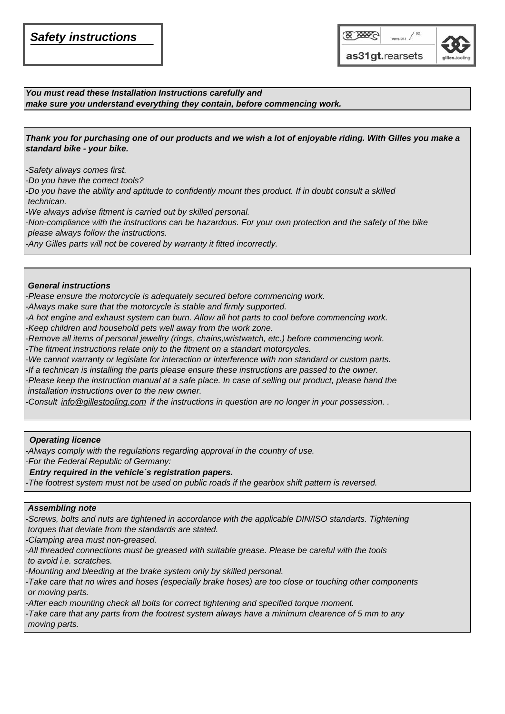### *Safety instructions*



*You must read these Installation Instructions carefully and make sure you understand everything they contain, before commencing work.*

*Thank you for purchasing one of our products and we wish a lot of enjoyable riding. With Gilles you make a standard bike - your bike.*

*-Safety always comes first.*

*-Do you have the correct tools?*

-Do you have the ability and aptitude to confidently mount thes product. If in doubt consult a skilled  *technican.*

*-We always advise fitment is carried out by skilled personal.*

*-Non-compliance with the instructions can be hazardous. For your own protection and the safety of the bike please always follow the instructions.*

*-Any Gilles parts will not be covered by warranty it fitted incorrectly.*

#### *General instructions*

*-Please ensure the motorcycle is adequately secured before commencing work.*

*-Always make sure that the motorcycle is stable and firmly supported.* 

*-A hot engine and exhaust system can burn. Allow all hot parts to cool before commencing work.*

*-Keep children and household pets well away from the work zone.*

*-Remove all items of personal jewellry (rings, chains,wristwatch, etc.) before commencing work.*

*-The fitment instructions relate only to the fitment on a standart motorcycles.*

*-We cannot warranty or legislate for interaction or interference with non standard or custom parts.*

*-If a technican is installing the parts please ensure these instructions are passed to the owner.*

*-Please keep the instruction manual at a safe place. In case of selling our product, please hand the installation instructions over to the new owner.*

*-Consult info@gillestooling.com if the instructions in question are no longer in your possession. .* 

#### *Operating licence*

*-Always comply with the regulations regarding approval in the country of use.*

*-For the Federal Republic of Germany:*

#### *Entry required in the vehicle´s registration papers.*

*-The footrest system must not be used on public roads if the gearbox shift pattern is reversed.*

#### *Assembling note*

*-Screws, bolts and nuts are tightened in accordance with the applicable DIN/ISO standarts. Tightening torques that deviate from the standards are stated.*

*-Clamping area must non-greased.* 

*-All threaded connections must be greased with suitable grease. Please be careful with the tools to avoid i.e. scratches.*

*-Mounting and bleeding at the brake system only by skilled personal.*

*-Take care that no wires and hoses (especially brake hoses) are too close or touching other components or moving parts.*

*-After each mounting check all bolts for correct tightening and specified torque moment.*

*-Take care that any parts from the footrest system always have a minimum clearence of 5 mm to any moving parts.*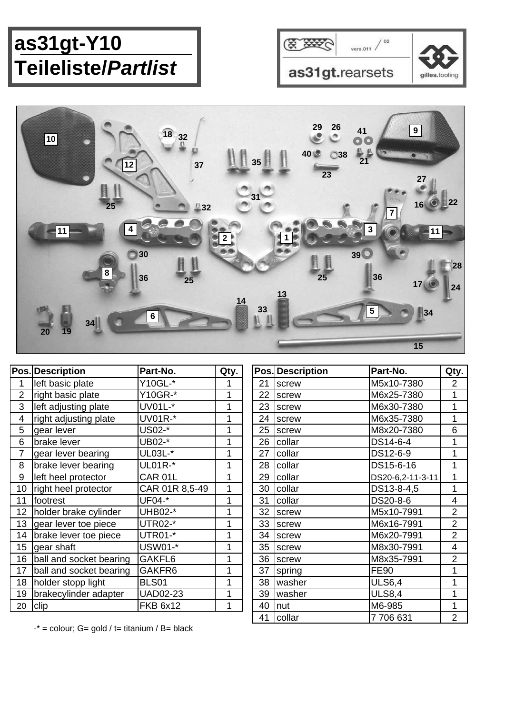# **as31gt-Y10 Teileliste/***Partlist*





|                 | <b>Pos. Description</b> | Part-No.        | Qty.         |    | Pos. Description | Part-No.                                                              | Qty.           |
|-----------------|-------------------------|-----------------|--------------|----|------------------|-----------------------------------------------------------------------|----------------|
|                 | left basic plate        | Y10GL-*         |              | 21 | screw            | M5x10-7380                                                            | 2              |
| $\overline{2}$  | right basic plate       | Y10GR-*         | 1            | 22 | screw            | M6x25-7380                                                            | 1              |
| 3               | left adjusting plate    | UV01L-*         | 1            | 23 | screw            | M6x30-7380                                                            | 1              |
| 4               | right adjusting plate   | <b>UV01R-*</b>  | 1            | 24 | screw            | M6x35-7380                                                            |                |
| 5               | gear lever              | US02-*          | 1            | 25 | screw            | M8x20-7380                                                            | 6              |
| 6               | brake lever             | UB02-*          | 1            | 26 | collar           | DS14-6-4                                                              |                |
|                 | gear lever bearing      | UL03L-*         | 1            | 27 | collar           | DS12-6-9                                                              | 1              |
| 8               | brake lever bearing     | <b>UL01R-*</b>  | 1            | 28 | collar           | DS15-6-16                                                             |                |
| 9               | left heel protector     | CAR 01L         | 1            | 29 | collar           | DS20-6,2-11-3-11                                                      |                |
| 10              | right heel protector    | CAR 01R 8,5-49  | $\mathbf{1}$ | 30 | collar           | DS13-8-4,5                                                            |                |
| 11              | footrest                | UF04-*          | 1            | 31 | collar           | DS20-8-6                                                              | 4              |
| 12              | holder brake cylinder   | UHB02-*         | 1            | 32 | screw            | M5x10-7991                                                            | $\overline{2}$ |
| 13 <sup>°</sup> | gear lever toe piece    | UTR02-*         | 1            | 33 | screw            | M6x16-7991                                                            | $\overline{2}$ |
| 14              | brake lever toe piece   | UTR01-*         | 1            | 34 | screw            | M6x20-7991                                                            | $\overline{2}$ |
| 15              | gear shaft              | USW01-*         | 1            | 35 | screw            | M8x30-7991                                                            | 4              |
| 16              | ball and socket bearing | GAKFL6          | 1            | 36 | screw            | M8x35-7991                                                            | $\overline{2}$ |
| 17              | ball and socket bearing | GAKFR6          | 1            | 37 | spring           | <b>FE90</b>                                                           |                |
| 18              | holder stopp light      | <b>BLS01</b>    | 1            | 38 | washer           | <b>ULS6,4</b>                                                         |                |
| 19              | brakecylinder adapter   | <b>UAD02-23</b> | 1            | 39 | washer           | <b>ULS8,4</b>                                                         |                |
| 20              | clip                    | <b>FKB 6x12</b> | 1            | 40 | nut              | M6-985                                                                |                |
|                 |                         |                 |              |    |                  | $\rightarrow$ $\rightarrow$ $\rightarrow$ $\rightarrow$ $\rightarrow$ |                |

|    | <b>Pos. Description</b> | Part-No.         | Qty.           |
|----|-------------------------|------------------|----------------|
| 21 | screw                   | M5x10-7380       | 2              |
| 22 | screw                   | M6x25-7380       | 1              |
| 23 | screw                   | M6x30-7380       | 1              |
| 24 | screw                   | M6x35-7380       | 1              |
| 25 | screw                   | M8x20-7380       | 6              |
| 26 | collar                  | DS14-6-4         | 1              |
| 27 | collar                  | DS12-6-9         | 1              |
| 28 | collar                  | DS15-6-16        | 1              |
| 29 | collar                  | DS20-6,2-11-3-11 | 1              |
| 30 | collar                  | DS13-8-4,5       | 1              |
| 31 | collar                  | DS20-8-6         | 4              |
| 32 | screw                   | M5x10-7991       | 2              |
| 33 | screw                   | M6x16-7991       | 2              |
| 34 | screw                   | M6x20-7991       | $\overline{2}$ |
| 35 | screw                   | M8x30-7991       | 4              |
| 36 | screw                   | M8x35-7991       | $\overline{2}$ |
| 37 | spring                  | <b>FE90</b>      | 1              |
| 38 | washer                  | <b>ULS6,4</b>    | 1              |
| 39 | washer                  | <b>ULS8,4</b>    | 1              |
| 40 | nut                     | M6-985           | 1              |
| 41 | collar                  | 7706631          | 2              |

 $-$ \* = colour; G= gold / t= titanium / B= black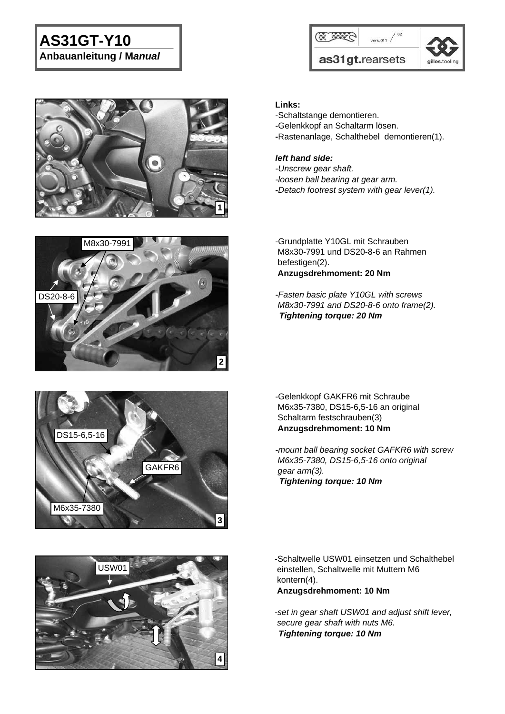# **AS31GT-Y10**

**Anbauanleitung / M***anual*









*-mount ball bearing socket GAFKR6 with screw M6x35-7380, DS15-6,5-16 onto original gear arm(3). Tightening torque: 10 Nm* 



-Schaltwelle USW01 einsetzen und Schalthebel einstellen, Schaltwelle mit Muttern M6 kontern(4).

 **Anzugsdrehmoment: 10 Nm**

*-set in gear shaft USW01 and adjust shift lever, secure gear shaft with nuts M6. Tightening torque: 10 Nm* 



M6x35-7380

**3**

**Links:**

- -Schaltstange demontieren.
- -Gelenkkopf an Schaltarm lösen.
- **-**Rastenanlage, Schalthebel demontieren(1).

#### *left hand side:*

- *-Unscrew gear shaft.*
- *-loosen ball bearing at gear arm.*
- **-***Detach footrest system with gear lever(1).*

-Grundplatte Y10GL mit Schrauben M8x30-7991 und DS20-8-6 an Rahmen befestigen(2). **Anzugsdrehmoment: 20 Nm**

*-Fasten basic plate Y10GL with screws M8x30-7991 and DS20-8-6 onto frame(2). Tightening torque: 20 Nm*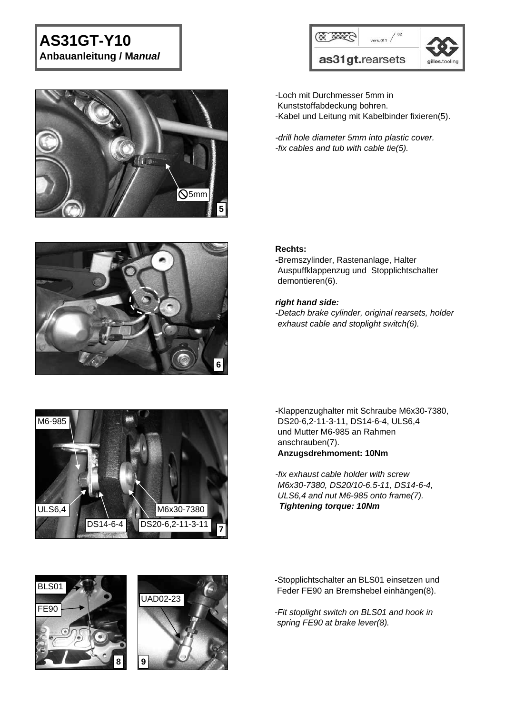# **AS31GT-Y10**

**Anbauanleitung / M***anual*







-Loch mit Durchmesser 5mm in Kunststoffabdeckung bohren. -Kabel und Leitung mit Kabelbinder fixieren(5).

*-drill hole diameter 5mm into plastic cover. -fix cables and tub with cable tie(5).*

#### **Rechts:**

**-**Bremszylinder, Rastenanlage, Halter Auspuffklappenzug und Stopplichtschalter demontieren(6).

#### *right hand side:*

*-Detach brake cylinder, original rearsets, holder exhaust cable and stoplight switch(6).*



-Klappenzughalter mit Schraube M6x30-7380, DS20-6,2-11-3-11, DS14-6-4, ULS6,4 und Mutter M6-985 an Rahmen anschrauben(7). **Anzugsdrehmoment: 10Nm**

*-fix exhaust cable holder with screw M6x30-7380, DS20/10-6.5-11, DS14-6-4, ULS6,4 and nut M6-985 onto frame(7). Tightening torque: 10Nm* 





-Stopplichtschalter an BLS01 einsetzen und Feder FE90 an Bremshebel einhängen(8).

*-Fit stoplight switch on BLS01 and hook in spring FE90 at brake lever(8).*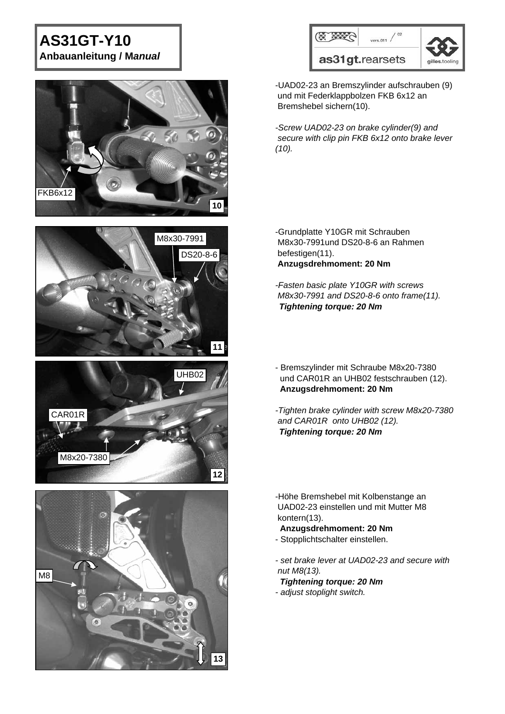# **AS31GT-Y10 Anbauanleitung / M***anual*









|                 | vers.011       |  |
|-----------------|----------------|--|
| as31gt.rearsets | gilles.tooling |  |

-UAD02-23 an Bremszylinder aufschrauben (9) und mit Federklappbolzen FKB 6x12 an Bremshebel sichern(10).

*-Screw UAD02-23 on brake cylinder(9) and secure with clip pin FKB 6x12 onto brake lever (10).*

-Grundplatte Y10GR mit Schrauben M8x30-7991und DS20-8-6 an Rahmen befestigen(11). **Anzugsdrehmoment: 20 Nm**

*-Fasten basic plate Y10GR with screws M8x30-7991 and DS20-8-6 onto frame(11). Tightening torque: 20 Nm* 

- Bremszylinder mit Schraube M8x20-7380 und CAR01R an UHB02 festschrauben (12). **Anzugsdrehmoment: 20 Nm**
- *-Tighten brake cylinder with screw M8x20-7380 and CAR01R onto UHB02 (12). Tightening torque: 20 Nm*

-Höhe Bremshebel mit Kolbenstange an UAD02-23 einstellen und mit Mutter M8 kontern(13).

**Anzugsdrehmoment: 20 Nm**

- Stopplichtschalter einstellen.
- *set brake lever at UAD02-23 and secure with nut M8(13).*
- *Tightening torque: 20 Nm - adjust stoplight switch.*